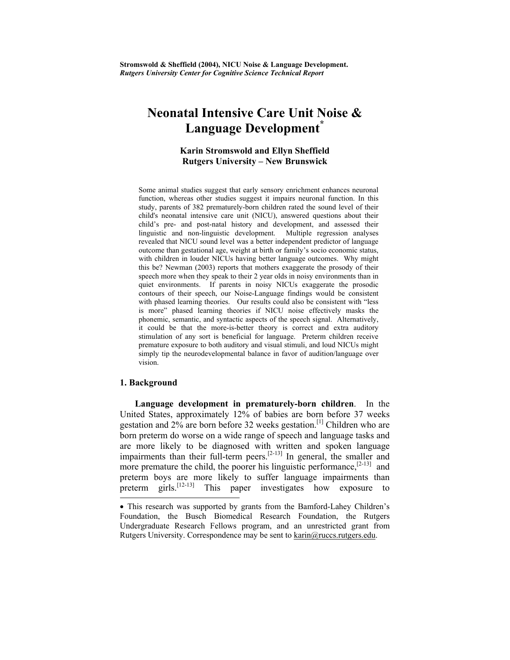# **Neonatal Intensive Care Unit Noise & Language Development**

# **Karin Stromswold and Ellyn Sheffield Rutgers University – New Brunswick**

Some animal studies suggest that early sensory enrichment enhances neuronal function, whereas other studies suggest it impairs neuronal function. In this study, parents of 382 prematurely-born children rated the sound level of their child's neonatal intensive care unit (NICU), answered questions about their child's pre- and post-natal history and development, and assessed their linguistic and non-linguistic development. Multiple regression analyses revealed that NICU sound level was a better independent predictor of language outcome than gestational age, weight at birth or family's socio economic status, with children in louder NICUs having better language outcomes. Why might this be? Newman (2003) reports that mothers exaggerate the prosody of their speech more when they speak to their 2 year olds in noisy environments than in quiet environments. If parents in noisy NICUs exaggerate the prosodic contours of their speech, our Noise-Language findings would be consistent with phased learning theories. Our results could also be consistent with "less is more" phased learning theories if NICU noise effectively masks the phonemic, semantic, and syntactic aspects of the speech signal. Alternatively, it could be that the more-is-better theory is correct and extra auditory stimulation of any sort is beneficial for language. Preterm children receive premature exposure to both auditory and visual stimuli, and loud NICUs might simply tip the neurodevelopmental balance in favor of audition/language over vision.

#### **1. Background**

**Language development in prematurely-born children**. In the United States, approximately 12% of babies are born before 37 weeks gestation and 2% are born before 32 weeks gestation.[1] Children who are born preterm do worse on a wide range of speech and language tasks and are more likely to be diagnosed with written and spoken language impairments than their full-term peers.<sup>[2-13]</sup> In general, the smaller and more premature the child, the poorer his linguistic performance,  $[2-13]$  and preterm boys are more likely to suffer language impairments than<br>preterm girls.<sup>[12-13]</sup> This paper investigates how exposure to This paper investigates how exposure to

<span id="page-0-0"></span><sup>•</sup> This research was supported by grants from the Bamford-Lahey Children's Foundation, the Busch Biomedical Research Foundation, the Rutgers Undergraduate Research Fellows program, and an unrestricted grant from Rutgers University. Correspondence may be sent to **[karin@ruccs.rutgers.edu.](mailto:karin@ruccs.rutgers.edu)**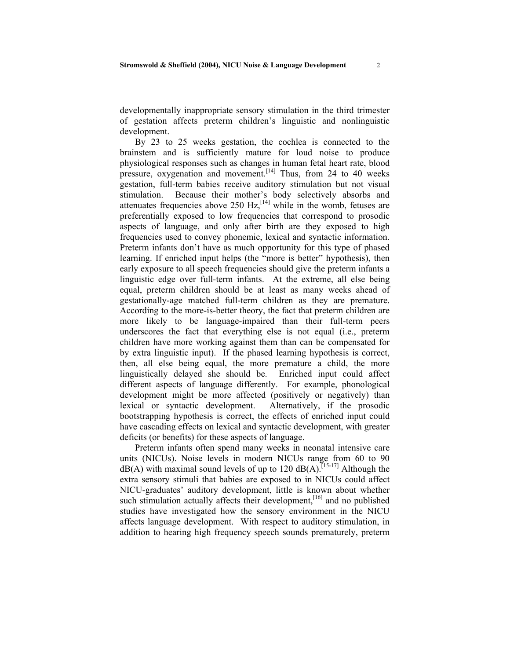developmentally inappropriate sensory stimulation in the third trimester of gestation affects preterm children's linguistic and nonlinguistic development.

By 23 to 25 weeks gestation, the cochlea is connected to the brainstem and is sufficiently mature for loud noise to produce physiological responses such as changes in human fetal heart rate, blood pressure, oxygenation and movement.<sup>[14]</sup> Thus, from 24 to 40 weeks gestation, full-term babies receive auditory stimulation but not visual stimulation. Because their mother's body selectively absorbs and attenuates frequencies above 250  $Hz$ ,  $[14]$  while in the womb, fetuses are preferentially exposed to low frequencies that correspond to prosodic aspects of language, and only after birth are they exposed to high frequencies used to convey phonemic, lexical and syntactic information. Preterm infants don't have as much opportunity for this type of phased learning. If enriched input helps (the "more is better" hypothesis), then early exposure to all speech frequencies should give the preterm infants a linguistic edge over full-term infants. At the extreme, all else being equal, preterm children should be at least as many weeks ahead of gestationally-age matched full-term children as they are premature. According to the more-is-better theory, the fact that preterm children are more likely to be language-impaired than their full-term peers underscores the fact that everything else is not equal (i.e., preterm children have more working against them than can be compensated for by extra linguistic input). If the phased learning hypothesis is correct, then, all else being equal, the more premature a child, the more linguistically delayed she should be. Enriched input could affect different aspects of language differently. For example, phonological development might be more affected (positively or negatively) than lexical or syntactic development. Alternatively, if the prosodic bootstrapping hypothesis is correct, the effects of enriched input could have cascading effects on lexical and syntactic development, with greater deficits (or benefits) for these aspects of language.

Preterm infants often spend many weeks in neonatal intensive care units (NICUs). Noise levels in modern NICUs range from 60 to 90  $dB(A)$  with maximal sound levels of up to 120 dB(A).<sup>[15-17]</sup> Although the extra sensory stimuli that babies are exposed to in NICUs could affect NICU-graduates' auditory development, little is known about whether such stimulation actually affects their development,<sup>[16]</sup> and no published studies have investigated how the sensory environment in the NICU affects language development. With respect to auditory stimulation, in addition to hearing high frequency speech sounds prematurely, preterm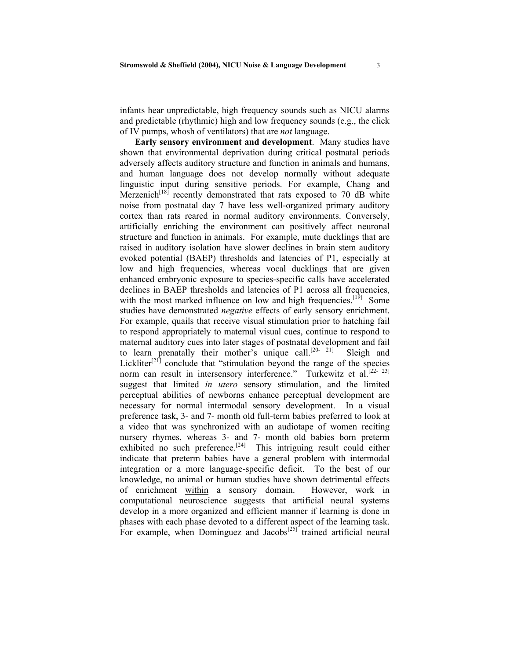infants hear unpredictable, high frequency sounds such as NICU alarms and predictable (rhythmic) high and low frequency sounds (e.g., the click of IV pumps, whosh of ventilators) that are *not* language.

**Early sensory environment and development**. Many studies have shown that environmental deprivation during critical postnatal periods adversely affects auditory structure and function in animals and humans, and human language does not develop normally without adequate linguistic input during sensitive periods. For example, Chang and Merzenich<sup>[18]</sup> recently demonstrated that rats exposed to 70 dB white noise from postnatal day 7 have less well-organized primary auditory cortex than rats reared in normal auditory environments. Conversely, artificially enriching the environment can positively affect neuronal structure and function in animals. For example, mute ducklings that are raised in auditory isolation have slower declines in brain stem auditory evoked potential (BAEP) thresholds and latencies of P1, especially at low and high frequencies, whereas vocal ducklings that are given enhanced embryonic exposure to species-specific calls have accelerated declines in BAEP thresholds and latencies of P1 across all frequencies, with the most marked influence on low and high frequencies.<sup>[19]</sup> Some studies have demonstrated *negative* effects of early sensory enrichment. For example, quails that receive visual stimulation prior to hatching fail to respond appropriately to maternal visual cues, continue to respond to maternal auditory cues into later stages of postnatal development and fail to learn prenatally their mother's unique call.<sup>[20-21]</sup> Sleigh and Lickliter<sup>[21]</sup> conclude that "stimulation beyond the range of the species norm can result in intersensory interference." Turkewitz et al.<sup>[22-23]</sup> suggest that limited *in utero* sensory stimulation, and the limited perceptual abilities of newborns enhance perceptual development are necessary for normal intermodal sensory development. In a visual preference task, 3- and 7- month old full-term babies preferred to look at a video that was synchronized with an audiotape of women reciting nursery rhymes, whereas 3- and 7- month old babies born preterm exhibited no such preference.<sup>[24]</sup> This intriguing result could either indicate that preterm babies have a general problem with intermodal integration or a more language-specific deficit. To the best of our knowledge, no animal or human studies have shown detrimental effects of enrichment within a sensory domain. However, work in computational neuroscience suggests that artificial neural systems develop in a more organized and efficient manner if learning is done in phases with each phase devoted to a different aspect of the learning task. For example, when Dominguez and Jacobs $[25]$  trained artificial neural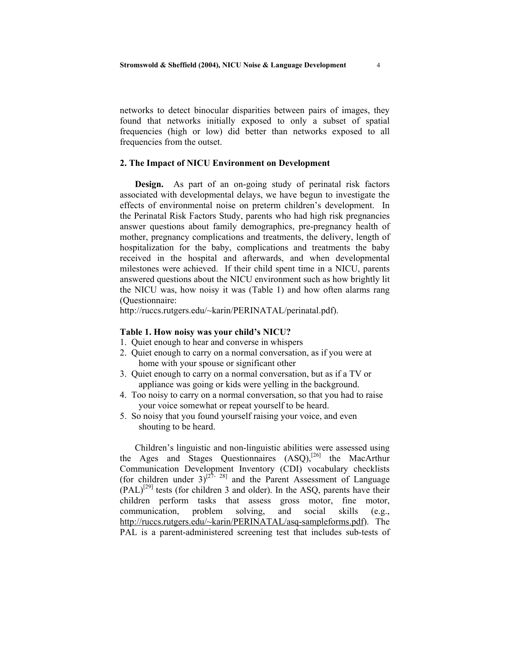networks to detect binocular disparities between pairs of images, they found that networks initially exposed to only a subset of spatial frequencies (high or low) did better than networks exposed to all frequencies from the outset.

## **2. The Impact of NICU Environment on Development**

**Design.** As part of an on-going study of perinatal risk factors associated with developmental delays, we have begun to investigate the effects of environmental noise on preterm children's development. In the Perinatal Risk Factors Study, parents who had high risk pregnancies answer questions about family demographics, pre-pregnancy health of mother, pregnancy complications and treatments, the delivery, length of hospitalization for the baby, complications and treatments the baby received in the hospital and afterwards, and when developmental milestones were achieved. If their child spent time in a NICU, parents answered questions about the NICU environment such as how brightly lit the NICU was, how noisy it was (Table 1) and how often alarms rang (Questionnaire:

http://ruccs.rutgers.edu/~karin/PERINATAL/perinatal.pdf).

#### **Table 1. How noisy was your child's NICU?**

- 1. Quiet enough to hear and converse in whispers
- 2. Quiet enough to carry on a normal conversation, as if you were at home with your spouse or significant other
- 3. Quiet enough to carry on a normal conversation, but as if a TV or appliance was going or kids were yelling in the background.
- 4. Too noisy to carry on a normal conversation, so that you had to raise your voice somewhat or repeat yourself to be heard.
- 5. So noisy that you found yourself raising your voice, and even shouting to be heard.

Children's linguistic and non-linguistic abilities were assessed using the Ages and Stages Questionnaires  $(ASQ)$ ,<sup>[26]</sup> the MacArthur Communication Development Inventory (CDI) vocabulary checklists (for children under  $3^{[27-28]}$  and the Parent Assessment of Language  $(PAL)^{[29]}$  tests (for children 3 and older). In the ASQ, parents have their children perform tasks that assess gross motor, fine motor, communication, problem solving, and social skills (e.g., [http://ruccs.rutgers.edu/~karin/PERINATAL/asq-sampleforms.pdf\)](http://ruccs.rutgers.edu/~karin/PERINATAL/asq-sampleforms.pdf). The PAL is a parent-administered screening test that includes sub-tests of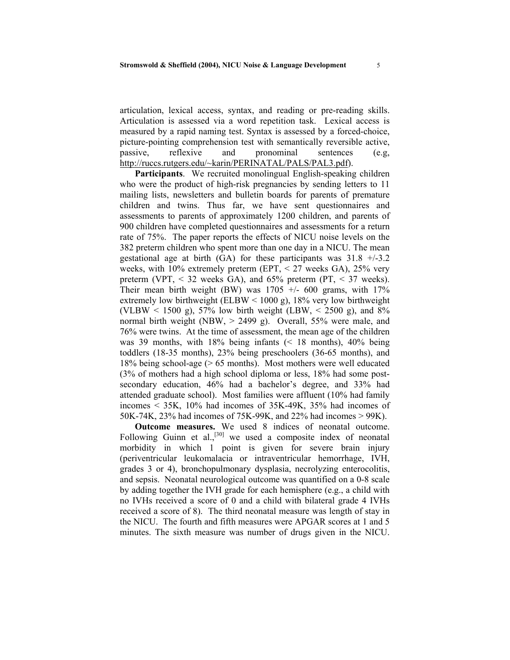articulation, lexical access, syntax, and reading or pre-reading skills. Articulation is assessed via a word repetition task. Lexical access is measured by a rapid naming test. Syntax is assessed by a forced-choice, picture-pointing comprehension test with semantically reversible active, passive, reflexive and pronominal sentences (e.g, [http://ruccs.rutgers.edu/~karin/PERINATAL/PALS/PAL3.pdf\)](http://ruccs.rutgers.edu/~karin/PERINATAL/PALS/PAL3.pdf).

**Participants**. We recruited monolingual English-speaking children who were the product of high-risk pregnancies by sending letters to 11 mailing lists, newsletters and bulletin boards for parents of premature children and twins. Thus far, we have sent questionnaires and assessments to parents of approximately 1200 children, and parents of 900 children have completed questionnaires and assessments for a return rate of 75%. The paper reports the effects of NICU noise levels on the 382 preterm children who spent more than one day in a NICU. The mean gestational age at birth  $(GA)$  for these participants was  $31.8 +1.3.2$ weeks, with 10% extremely preterm (EPT,  $\leq$  27 weeks GA), 25% very preterm (VPT,  $\leq$  32 weeks GA), and 65% preterm (PT,  $\leq$  37 weeks). Their mean birth weight (BW) was  $1705 +/- 600$  grams, with  $17\%$ extremely low birthweight (ELBW < 1000 g), 18% very low birthweight (VLBW < 1500 g), 57% low birth weight (LBW,  $\leq$  2500 g), and 8% normal birth weight (NBW,  $> 2499$  g). Overall, 55% were male, and 76% were twins. At the time of assessment, the mean age of the children was 39 months, with 18% being infants (< 18 months), 40% being toddlers (18-35 months), 23% being preschoolers (36-65 months), and 18% being school-age (> 65 months). Most mothers were well educated (3% of mothers had a high school diploma or less, 18% had some postsecondary education, 46% had a bachelor's degree, and 33% had attended graduate school). Most families were affluent (10% had family incomes < 35K, 10% had incomes of 35K-49K, 35% had incomes of 50K-74K, 23% had incomes of 75K-99K, and 22% had incomes > 99K).

**Outcome measures.** We used 8 indices of neonatal outcome. Following Guinn et al.,<sup>[30]</sup> we used a composite index of neonatal morbidity in which 1 point is given for severe brain injury (periventricular leukomalacia or intraventricular hemorrhage, IVH, grades 3 or 4), bronchopulmonary dysplasia, necrolyzing enterocolitis, and sepsis. Neonatal neurological outcome was quantified on a 0-8 scale by adding together the IVH grade for each hemisphere (e.g., a child with no IVHs received a score of 0 and a child with bilateral grade 4 IVHs received a score of 8). The third neonatal measure was length of stay in the NICU. The fourth and fifth measures were APGAR scores at 1 and 5 minutes. The sixth measure was number of drugs given in the NICU.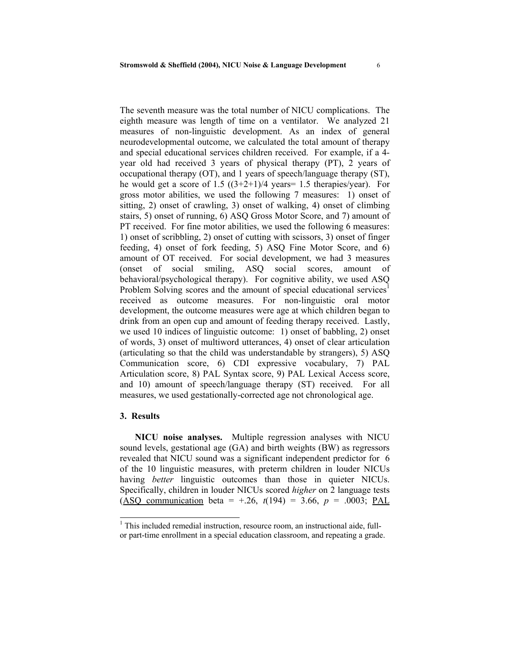The seventh measure was the total number of NICU complications. The eighth measure was length of time on a ventilator. We analyzed 21 measures of non-linguistic development. As an index of general neurodevelopmental outcome, we calculated the total amount of therapy and special educational services children received. For example, if a 4 year old had received 3 years of physical therapy (PT), 2 years of occupational therapy (OT), and 1 years of speech/language therapy (ST), he would get a score of 1.5  $((3+2+1)/4$  years = 1.5 therapies/year). For gross motor abilities, we used the following 7 measures: 1) onset of sitting, 2) onset of crawling, 3) onset of walking, 4) onset of climbing stairs, 5) onset of running, 6) ASQ Gross Motor Score, and 7) amount of PT received. For fine motor abilities, we used the following 6 measures: 1) onset of scribbling, 2) onset of cutting with scissors, 3) onset of finger feeding, 4) onset of fork feeding, 5) ASQ Fine Motor Score, and 6) amount of OT received. For social development, we had 3 measures (onset of social smiling, ASQ social scores, amount of behavioral/psychological therapy). For cognitive ability, we used ASQ Problem Solving scores and the amount of special educational services<sup>[1](#page-5-0)</sup> received as outcome measures. For non-linguistic oral motor development, the outcome measures were age at which children began to drink from an open cup and amount of feeding therapy received. Lastly, we used 10 indices of linguistic outcome: 1) onset of babbling, 2) onset of words, 3) onset of multiword utterances, 4) onset of clear articulation (articulating so that the child was understandable by strangers), 5) ASQ Communication score, 6) CDI expressive vocabulary, 7) PAL Articulation score, 8) PAL Syntax score, 9) PAL Lexical Access score, and 10) amount of speech/language therapy (ST) received. For all measures, we used gestationally-corrected age not chronological age.

#### **3. Results**

l

**NICU noise analyses.** Multiple regression analyses with NICU sound levels, gestational age (GA) and birth weights (BW) as regressors revealed that NICU sound was a significant independent predictor for 6 of the 10 linguistic measures, with preterm children in louder NICUs having *better* linguistic outcomes than those in quieter NICUs. Specifically, children in louder NICUs scored *higher* on 2 language tests (ASQ communication beta =  $+.26$ ,  $t(194) = 3.66$ ,  $p = .0003$ ; PAL

<span id="page-5-0"></span><sup>&</sup>lt;sup>1</sup> This included remedial instruction, resource room, an instructional aide, full-

or part-time enrollment in a special education classroom, and repeating a grade.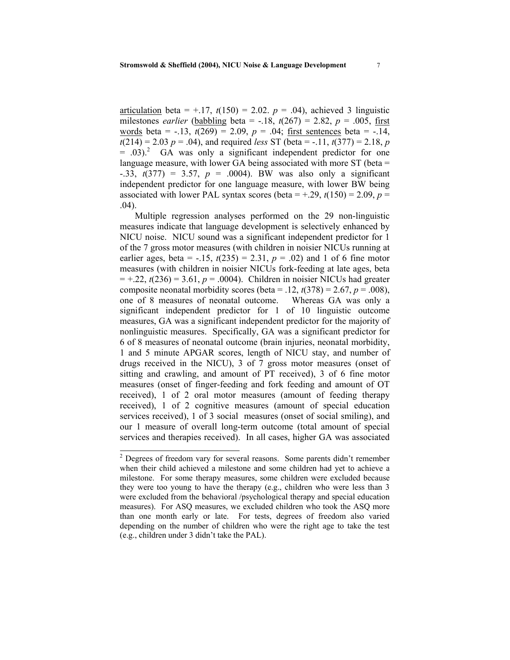articulation beta = +.17, *t*(150) = 2.02. *p* = .04), achieved 3 linguistic milestones *earlier* (babbling beta =  $-.18$ ,  $t(267) = 2.82$ ,  $p = .005$ , first words beta =  $-13$ ,  $t(269) = 2.09$ ,  $p = 0.04$ ; first sentences beta =  $-14$ ,  $t(214) = 2.03$   $p = .04$ ), and required *less* ST (beta = -.11,  $t(377) = 2.18$ , *p*  $= .03$ ).<sup>[2](#page-6-0)</sup> GA was only a significant independent predictor for one language measure, with lower GA being associated with more ST (beta = -.33, *t*(377) = 3.57, *p* = .0004). BW was also only a significant independent predictor for one language measure, with lower BW being associated with lower PAL syntax scores (beta  $= +.29$ ,  $t(150) = 2.09$ ,  $p =$ .04).

Multiple regression analyses performed on the 29 non-linguistic measures indicate that language development is selectively enhanced by NICU noise. NICU sound was a significant independent predictor for 1 of the 7 gross motor measures (with children in noisier NICUs running at earlier ages, beta =  $-15$ ,  $t(235) = 2.31$ ,  $p = .02$ ) and 1 of 6 fine motor measures (with children in noisier NICUs fork-feeding at late ages, beta  $= +.22$ ,  $t(236) = 3.61$ ,  $p = .0004$ ). Children in noisier NICUs had greater composite neonatal morbidity scores (beta = .12,  $t(378) = 2.67$ ,  $p = .008$ ), one of 8 measures of neonatal outcome. Whereas GA was only a significant independent predictor for 1 of 10 linguistic outcome measures, GA was a significant independent predictor for the majority of nonlinguistic measures. Specifically, GA was a significant predictor for 6 of 8 measures of neonatal outcome (brain injuries, neonatal morbidity, 1 and 5 minute APGAR scores, length of NICU stay, and number of drugs received in the NICU), 3 of 7 gross motor measures (onset of sitting and crawling, and amount of PT received), 3 of 6 fine motor measures (onset of finger-feeding and fork feeding and amount of OT received), 1 of 2 oral motor measures (amount of feeding therapy received), 1 of 2 cognitive measures (amount of special education services received), 1 of 3 social measures (onset of social smiling), and our 1 measure of overall long-term outcome (total amount of special services and therapies received). In all cases, higher GA was associated

<span id="page-6-0"></span><sup>&</sup>lt;sup>2</sup> Degrees of freedom vary for several reasons. Some parents didn't remember when their child achieved a milestone and some children had yet to achieve a milestone. For some therapy measures, some children were excluded because they were too young to have the therapy (e.g., children who were less than 3 were excluded from the behavioral /psychological therapy and special education measures). For ASQ measures, we excluded children who took the ASQ more than one month early or late. For tests, degrees of freedom also varied depending on the number of children who were the right age to take the test (e.g., children under 3 didn't take the PAL).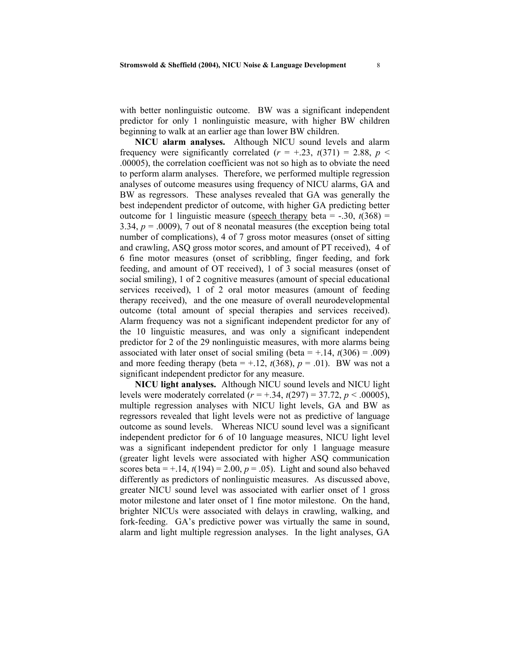with better nonlinguistic outcome. BW was a significant independent predictor for only 1 nonlinguistic measure, with higher BW children beginning to walk at an earlier age than lower BW children.

**NICU alarm analyses.** Although NICU sound levels and alarm frequency were significantly correlated  $(r = +0.23, t(371) = 2.88, p <$ .00005), the correlation coefficient was not so high as to obviate the need to perform alarm analyses. Therefore, we performed multiple regression analyses of outcome measures using frequency of NICU alarms, GA and BW as regressors. These analyses revealed that GA was generally the best independent predictor of outcome, with higher GA predicting better outcome for 1 linguistic measure (speech therapy beta =  $-.30, t(368)$  = 3.34,  $p = .0009$ ), 7 out of 8 neonatal measures (the exception being total number of complications), 4 of 7 gross motor measures (onset of sitting and crawling, ASQ gross motor scores, and amount of PT received), 4 of 6 fine motor measures (onset of scribbling, finger feeding, and fork feeding, and amount of OT received), 1 of 3 social measures (onset of social smiling), 1 of 2 cognitive measures (amount of special educational services received), 1 of 2 oral motor measures (amount of feeding therapy received), and the one measure of overall neurodevelopmental outcome (total amount of special therapies and services received). Alarm frequency was not a significant independent predictor for any of the 10 linguistic measures, and was only a significant independent predictor for 2 of the 29 nonlinguistic measures, with more alarms being associated with later onset of social smiling (beta  $= +.14$ ,  $t(306) = .009$ ) and more feeding therapy (beta =  $+.12$ ,  $t(368)$ ,  $p = .01$ ). BW was not a significant independent predictor for any measure.

**NICU light analyses.** Although NICU sound levels and NICU light levels were moderately correlated  $(r = +0.34, t(297) = 37.72, p < 0.00005)$ , multiple regression analyses with NICU light levels, GA and BW as regressors revealed that light levels were not as predictive of language outcome as sound levels. Whereas NICU sound level was a significant independent predictor for 6 of 10 language measures, NICU light level was a significant independent predictor for only 1 language measure (greater light levels were associated with higher ASQ communication scores beta =  $+14$ ,  $t(194) = 2.00$ ,  $p = .05$ ). Light and sound also behaved differently as predictors of nonlinguistic measures. As discussed above, greater NICU sound level was associated with earlier onset of 1 gross motor milestone and later onset of 1 fine motor milestone. On the hand, brighter NICUs were associated with delays in crawling, walking, and fork-feeding. GA's predictive power was virtually the same in sound, alarm and light multiple regression analyses. In the light analyses, GA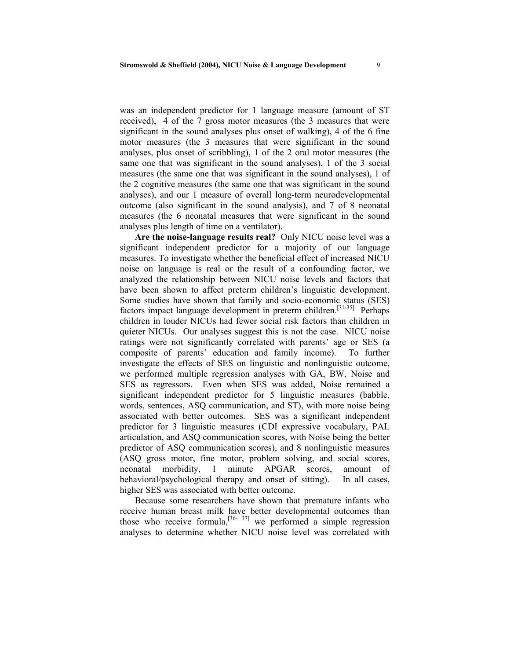was an independent predictor for 1 language measure (amount of ST received), 4 of the 7 gross motor measures (the 3 measures that were significant in the sound analyses plus onset of walking), 4 of the 6 fine motor measures (the 3 measures that were significant in the sound analyses, plus onset of scribbling), 1 of the 2 oral motor measures (the same one that was significant in the sound analyses), 1 of the 3 social measures (the same one that was significant in the sound analyses), 1 of the 2 cognitive measures (the same one that was significant in the sound analyses), and our 1 measure of overall long-term neurodevelopmental outcome (also significant in the sound analysis), and 7 of 8 neonatal measures (the 6 neonatal measures that were significant in the sound analyses plus length of time on a ventilator).

**Are the noise-language results real?** Only NICU noise level was a significant independent predictor for a majority of our language measures. To investigate whether the beneficial effect of increased NICU noise on language is real or the result of a confounding factor, we analyzed the relationship between NICU noise levels and factors that have been shown to affect preterm children's linguistic development. Some studies have shown that family and socio-economic status (SES) factors impact language development in preterm children.<sup>[31-35]</sup> Perhaps children in louder NICUs had fewer social risk factors than children in quieter NICUs. Our analyses suggest this is not the case. NICU noise ratings were not significantly correlated with parents' age or SES (a composite of parents' education and family income). To further investigate the effects of SES on linguistic and nonlinguistic outcome, we performed multiple regression analyses with GA, BW, Noise and SES as regressors. Even when SES was added, Noise remained a significant independent predictor for 5 linguistic measures (babble, words, sentences, ASQ communication, and ST), with more noise being associated with better outcomes. SES was a significant independent predictor for 3 linguistic measures (CDI expressive vocabulary, PAL articulation, and ASQ communication scores, with Noise being the better predictor of ASQ communication scores), and 8 nonlinguistic measures (ASQ gross motor, fine motor, problem solving, and social scores, neonatal morbidity, 1 minute APGAR scores, amount of behavioral/psychological therapy and onset of sitting). In all cases, higher SES was associated with better outcome.

Because some researchers have shown that premature infants who receive human breast milk have better developmental outcomes than those who receive formula,  $[36-37]$  we performed a simple regression analyses to determine whether NICU noise level was correlated with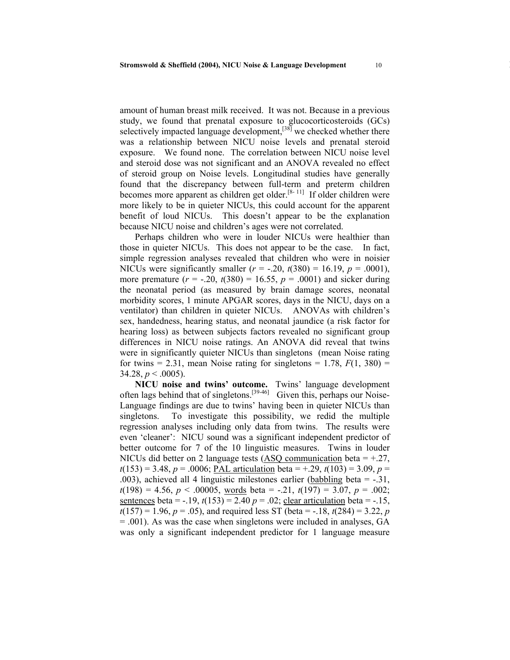amount of human breast milk received. It was not. Because in a previous study, we found that prenatal exposure to glucocorticosteroids (GCs) selectively impacted language development,  $[38]$  we checked whether there was a relationship between NICU noise levels and prenatal steroid exposure. We found none. The correlation between NICU noise level and steroid dose was not significant and an ANOVA revealed no effect of steroid group on Noise levels. Longitudinal studies have generally found that the discrepancy between full-term and preterm children becomes more apparent as children get older.<sup>[8-11]</sup> If older children were more likely to be in quieter NICUs, this could account for the apparent benefit of loud NICUs. This doesn't appear to be the explanation because NICU noise and children's ages were not correlated.

Perhaps children who were in louder NICUs were healthier than those in quieter NICUs. This does not appear to be the case. In fact, simple regression analyses revealed that children who were in noisier NICUs were significantly smaller  $(r = -.20, t(380) = 16.19, p = .0001)$ , more premature  $(r = -.20, t(380) = 16.55, p = .0001)$  and sicker during the neonatal period (as measured by brain damage scores, neonatal morbidity scores, 1 minute APGAR scores, days in the NICU, days on a ventilator) than children in quieter NICUs. ANOVAs with children's sex, handedness, hearing status, and neonatal jaundice (a risk factor for hearing loss) as between subjects factors revealed no significant group differences in NICU noise ratings. An ANOVA did reveal that twins were in significantly quieter NICUs than singletons (mean Noise rating for twins  $= 2.31$ , mean Noise rating for singletons  $= 1.78$ ,  $F(1, 380) =$  $34.28, p \leq .0005$ ).

**NICU noise and twins' outcome.** Twins' language development often lags behind that of singletons.<sup>[39-46]</sup> Given this, perhaps our Noise-Language findings are due to twins' having been in quieter NICUs than singletons. To investigate this possibility, we redid the multiple regression analyses including only data from twins. The results were even 'cleaner': NICU sound was a significant independent predictor of better outcome for 7 of the 10 linguistic measures. Twins in louder NICUs did better on 2 language tests (ASQ communication beta  $= +.27$ , *t*(153) = 3.48, *p* = .0006; PAL articulation beta = +.29, *t*(103) = 3.09, *p* = .003), achieved all 4 linguistic milestones earlier (babbling beta = -.31, *t*(198) = 4.56, *p* < .00005, words beta = -.21, *t*(197) = 3.07, *p* = .002; sentences beta =  $-19$ ,  $t(153) = 2.40$   $p = 0.02$ ; clear articulation beta =  $-15$ ,  $t(157) = 1.96, p = .05$ , and required less ST (beta = -.18,  $t(284) = 3.22, p$ = .001). As was the case when singletons were included in analyses, GA was only a significant independent predictor for 1 language measure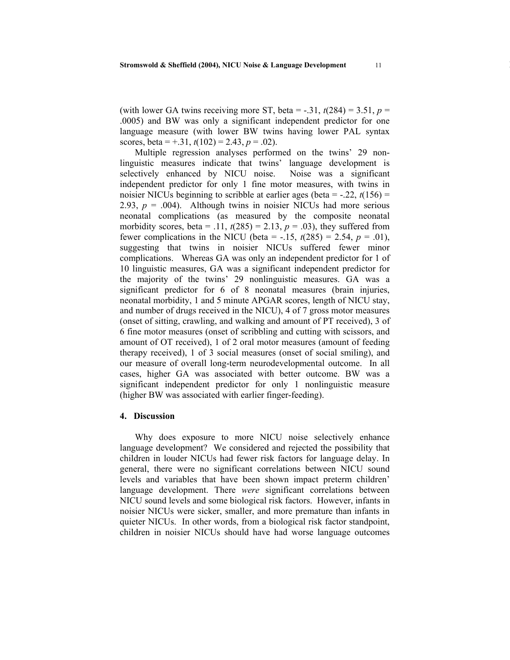(with lower GA twins receiving more ST, beta =  $-.31$ ,  $t(284) = 3.51$ ,  $p =$ .0005) and BW was only a significant independent predictor for one language measure (with lower BW twins having lower PAL syntax scores, beta =  $+.31$ ,  $t(102) = 2.43$ ,  $p = .02$ ).

Multiple regression analyses performed on the twins' 29 nonlinguistic measures indicate that twins' language development is selectively enhanced by NICU noise. Noise was a significant independent predictor for only 1 fine motor measures, with twins in noisier NICUs beginning to scribble at earlier ages (beta =  $-.22$ ,  $t(156)$  = 2.93,  $p = .004$ ). Although twins in noisier NICUs had more serious neonatal complications (as measured by the composite neonatal morbidity scores, beta = .11,  $t(285) = 2.13$ ,  $p = .03$ ), they suffered from fewer complications in the NICU (beta = -.15,  $t(285) = 2.54$ ,  $p = .01$ ), suggesting that twins in noisier NICUs suffered fewer minor complications. Whereas GA was only an independent predictor for 1 of 10 linguistic measures, GA was a significant independent predictor for the majority of the twins' 29 nonlinguistic measures. GA was a significant predictor for 6 of 8 neonatal measures (brain injuries, neonatal morbidity, 1 and 5 minute APGAR scores, length of NICU stay, and number of drugs received in the NICU), 4 of 7 gross motor measures (onset of sitting, crawling, and walking and amount of PT received), 3 of 6 fine motor measures (onset of scribbling and cutting with scissors, and amount of OT received), 1 of 2 oral motor measures (amount of feeding therapy received), 1 of 3 social measures (onset of social smiling), and our measure of overall long-term neurodevelopmental outcome. In all cases, higher GA was associated with better outcome. BW was a significant independent predictor for only 1 nonlinguistic measure (higher BW was associated with earlier finger-feeding).

## **4. Discussion**

Why does exposure to more NICU noise selectively enhance language development? We considered and rejected the possibility that children in louder NICUs had fewer risk factors for language delay. In general, there were no significant correlations between NICU sound levels and variables that have been shown impact preterm children' language development. There *were* significant correlations between NICU sound levels and some biological risk factors. However, infants in noisier NICUs were sicker, smaller, and more premature than infants in quieter NICUs. In other words, from a biological risk factor standpoint, children in noisier NICUs should have had worse language outcomes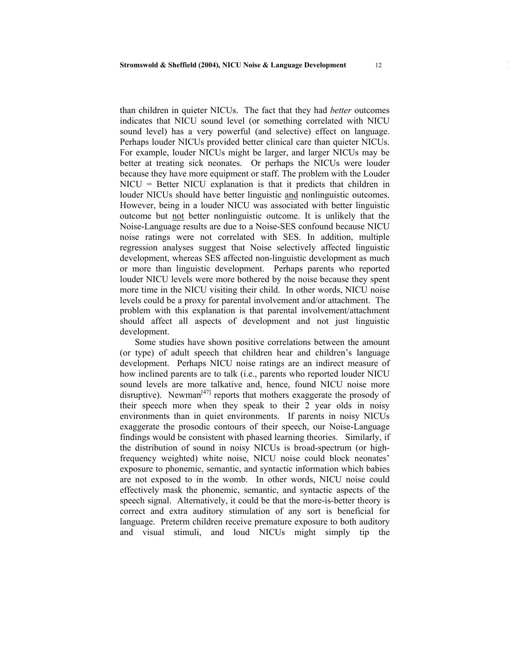than children in quieter NICUs. The fact that they had *better* outcomes indicates that NICU sound level (or something correlated with NICU sound level) has a very powerful (and selective) effect on language. Perhaps louder NICUs provided better clinical care than quieter NICUs. For example, louder NICUs might be larger, and larger NICUs may be better at treating sick neonates. Or perhaps the NICUs were louder because they have more equipment or staff. The problem with the Louder NICU = Better NICU explanation is that it predicts that children in louder NICUs should have better linguistic and nonlinguistic outcomes. However, being in a louder NICU was associated with better linguistic outcome but not better nonlinguistic outcome. It is unlikely that the Noise-Language results are due to a Noise-SES confound because NICU noise ratings were not correlated with SES. In addition, multiple regression analyses suggest that Noise selectively affected linguistic development, whereas SES affected non-linguistic development as much or more than linguistic development. Perhaps parents who reported louder NICU levels were more bothered by the noise because they spent more time in the NICU visiting their child. In other words, NICU noise levels could be a proxy for parental involvement and/or attachment. The problem with this explanation is that parental involvement/attachment should affect all aspects of development and not just linguistic development.

Some studies have shown positive correlations between the amount (or type) of adult speech that children hear and children's language development. Perhaps NICU noise ratings are an indirect measure of how inclined parents are to talk (i.e., parents who reported louder NICU sound levels are more talkative and, hence, found NICU noise more disruptive). Newman<sup>[47]</sup> reports that mothers exaggerate the prosody of their speech more when they speak to their 2 year olds in noisy environments than in quiet environments. If parents in noisy NICUs exaggerate the prosodic contours of their speech, our Noise-Language findings would be consistent with phased learning theories. Similarly, if the distribution of sound in noisy NICUs is broad-spectrum (or highfrequency weighted) white noise, NICU noise could block neonates' exposure to phonemic, semantic, and syntactic information which babies are not exposed to in the womb. In other words, NICU noise could effectively mask the phonemic, semantic, and syntactic aspects of the speech signal. Alternatively, it could be that the more-is-better theory is correct and extra auditory stimulation of any sort is beneficial for language. Preterm children receive premature exposure to both auditory and visual stimuli, and loud NICUs might simply tip the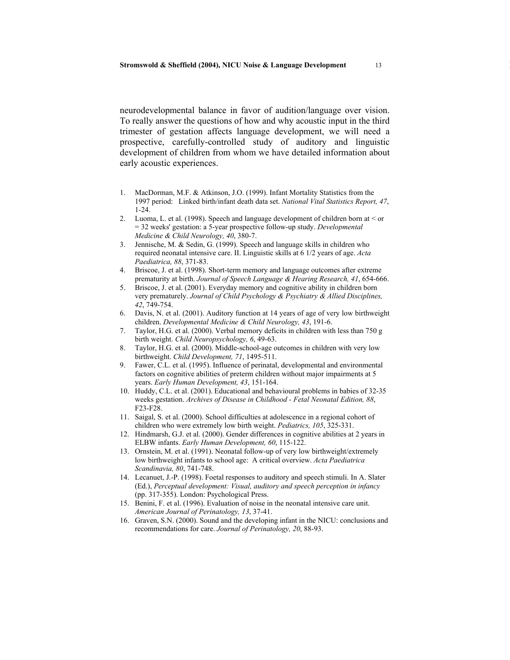neurodevelopmental balance in favor of audition/language over vision. To really answer the questions of how and why acoustic input in the third trimester of gestation affects language development, we will need a prospective, carefully-controlled study of auditory and linguistic development of children from whom we have detailed information about early acoustic experiences.

- 1. MacDorman, M.F. & Atkinson, J.O. (1999). Infant Mortality Statistics from the 1997 period: Linked birth/infant death data set. *National Vital Statistics Report, 47*, 1-24.
- 2. Luoma, L. et al. (1998). Speech and language development of children born at < or = 32 weeks' gestation: a 5-year prospective follow-up study. *Developmental Medicine & Child Neurology, 40*, 380-7.
- 3. Jennische, M. & Sedin, G. (1999). Speech and language skills in children who required neonatal intensive care. II. Linguistic skills at 6 1/2 years of age. *Acta Paediatrica, 88*, 371-83.
- 4. Briscoe, J. et al. (1998). Short-term memory and language outcomes after extreme prematurity at birth. *Journal of Speech Language & Hearing Research, 41*, 654-666.
- 5. Briscoe, J. et al. (2001). Everyday memory and cognitive ability in children born very prematurely. *Journal of Child Psychology & Psychiatry & Allied Disciplines, 42*, 749-754.
- 6. Davis, N. et al. (2001). Auditory function at 14 years of age of very low birthweight children. *Developmental Medicine & Child Neurology, 43*, 191-6.
- 7. Taylor, H.G. et al. (2000). Verbal memory deficits in children with less than 750 g birth weight. *Child Neuropsychology, 6*, 49-63.
- 8. Taylor, H.G. et al. (2000). Middle-school-age outcomes in children with very low birthweight. *Child Development, 71*, 1495-511.
- 9. Fawer, C.L. et al. (1995). Influence of perinatal, developmental and environmental factors on cognitive abilities of preterm children without major impairments at 5 years. *Early Human Development, 43*, 151-164.
- 10. Huddy, C.L. et al. (2001). Educational and behavioural problems in babies of 32-35 weeks gestation. *Archives of Disease in Childhood - Fetal Neonatal Edition, 88*, F23-F28.
- 11. Saigal, S. et al. (2000). School difficulties at adolescence in a regional cohort of children who were extremely low birth weight. *Pediatrics, 105*, 325-331.
- 12. Hindmarsh, G.J. et al. (2000). Gender differences in cognitive abilities at 2 years in ELBW infants. *Early Human Development, 60*, 115-122.
- 13. Ornstein, M. et al. (1991). Neonatal follow-up of very low birthweight/extremely low birthweight infants to school age: A critical overview. *Acta Paediatrica Scandinavia, 80*, 741-748.
- 14. Lecanuet, J.-P. (1998). Foetal responses to auditory and speech stimuli. In A. Slater (Ed.), *Perceptual development: Visual, auditory and speech perception in infancy* (pp. 317-355). London: Psychological Press.
- 15. Benini, F. et al. (1996). Evaluation of noise in the neonatal intensive care unit. *American Journal of Perinatology, 13*, 37-41.
- 16. Graven, S.N. (2000). Sound and the developing infant in the NICU: conclusions and recommendations for care. *Journal of Perinatology, 20*, 88-93.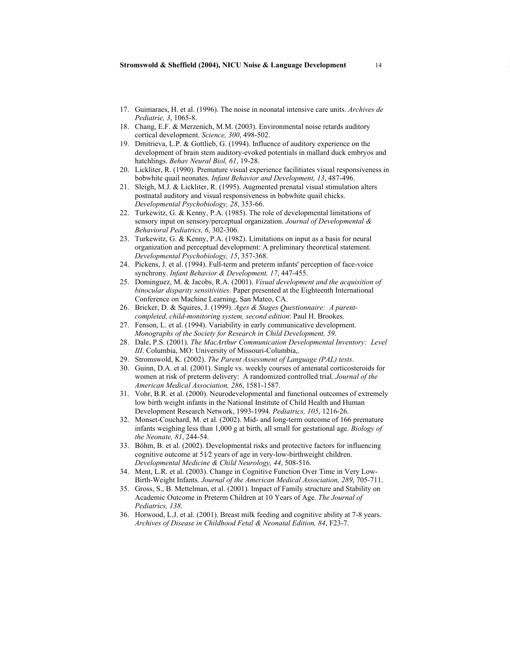- 17. Guimaraes, H. et al. (1996). The noise in neonatal intensive care units. *Archives de Pediatrie, 3*, 1065-8.
- 18. Chang, E.F. & Merzenich, M.M. (2003). Environmental noise retards auditory cortical development. *Science, 300*, 498-502.
- 19. Dmitrieva, L.P. & Gottlieb, G. (1994). Influence of auditory experience on the development of brain stem auditory-evoked potentials in mallard duck embryos and hatchlings. *Behav Neural Biol, 61*, 19-28.
- 20. Lickliter, R. (1990). Premature visual experience facilitiates visual responsiveness in bobwhite quail neonates. *Infant Behavior and Development, 13*, 487-496.
- 21. Sleigh, M.J. & Lickliter, R. (1995). Augmented prenatal visual stimulation alters postnatal auditory and visual responsiveness in bobwhite quail chicks. *Developmental Psychobiology, 28*, 353-66.
- 22. Turkewitz, G. & Kenny, P.A. (1985). The role of developmental limitations of sensory input on sensory/perceptual organization. *Journal of Developmental & Behavioral Pediatrics, 6*, 302-306.
- 23. Turkewitz, G. & Kenny, P.A. (1982). Limitations on input as a basis for neural organization and perceptual development: A preliminary theoretical statement. *Developmental Psychobiology, 15*, 357-368.
- 24. Pickens, J. et al. (1994). Full-term and preterm infants' perception of face-voice synchrony. *Infant Behavior & Development, 17*, 447-455.
- 25. Dominguez, M. & Jacobs, R.A. (2001). *Visual development and the acquisition of binocular disparity sensitivities.* Paper presented at the Eighteenth International Conference on Machine Learning, San Mateo, CA.
- 26. Bricker, D. & Squires, J. (1999). *Ages & Stages Questionnaire: A parentcompleted, child-monitoring system, second edition*: Paul H. Brookes.
- 27. Fenson, L. et al. (1994). Variability in early communicative development. *Monographs of the Society for Research in Child Development, 59*.
- 28. Dale, P.S. (2001). *The MacArthur Communication Developmental Inventory: Level III*. Columbia, MO: University of Missouri-Columbia,.
- 29. Stromswold, K. (2002). *The Parent Assessment of Language (PAL) tests*.
- 30. Guinn, D.A. et al. (2001). Single vs. weekly courses of antenatal corticosteroids for women at risk of preterm delivery: A randomized controlled trial. *Journal of the American Medical Association, 286*, 1581-1587.
- 31. Vohr, B.R. et al. (2000). Neurodevelopmental and functional outcomes of extremely low birth weight infants in the National Institute of Child Health and Human Development Research Network, 1993-1994. *Pediatrics, 105*, 1216-26.
- 32. Monset-Couchard, M. et al. (2002). Mid- and long-term outcome of 166 premature infants weighing less than 1,000 g at birth, all small for gestational age. *Biology of the Neonate, 81*, 244-54.
- 33. Böhm, B. et al. (2002). Developmental risks and protective factors for influencing cognitive outcome at 51⁄2 years of age in very-low-birthweight children. *Developmental Medicine & Child Neurology, 44*, 508-516.
- 34. Ment, L.R. et al. (2003). Change in Cognitive Function Over Time in Very Low-Birth-Weight Infants. *Journal of the American Medical Association, 289*, 705-711.
- 35. Gross, S., B. Mettelman, et al. (2001). Impact of Family structure and Stability on Academic Outcome in Preterm Children at 10 Years of Age. *The Journal of Pediatrics, 138*.
- 36. Horwood, L.J. et al. (2001). Breast milk feeding and cognitive ability at 7-8 years. *Archives of Disease in Childhood Fetal & Neonatal Edition, 84*, F23-7.